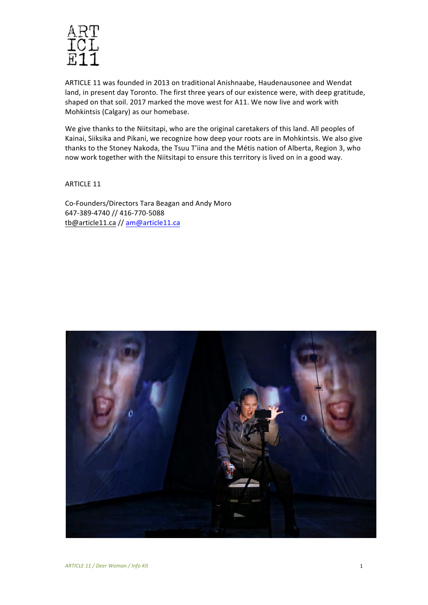

ARTICLE 11 was founded in 2013 on traditional Anishnaabe, Haudenausonee and Wendat land, in present day Toronto. The first three years of our existence were, with deep gratitude, shaped on that soil. 2017 marked the move west for A11. We now live and work with Mohkintsis (Calgary) as our homebase.

We give thanks to the Niitsitapi, who are the original caretakers of this land. All peoples of Kainai, Siiksika and Pikani, we recognize how deep your roots are in Mohkintsis. We also give thanks to the Stoney Nakoda, the Tsuu T'iina and the Métis nation of Alberta, Region 3, who now work together with the Niitsitapi to ensure this territory is lived on in a good way.

ARTICLE 11

Co-Founders/Directors Tara Beagan and Andy Moro 647-389-4740 // 416-770-5088 tb@article11.ca // am@article11.ca

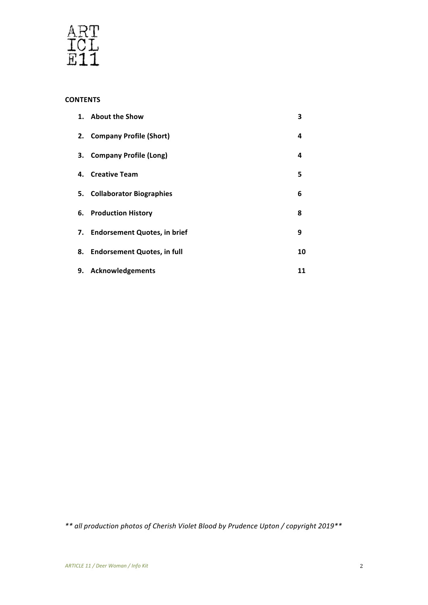

# **CONTENTS**

|    | 1. About the Show               | 3  |
|----|---------------------------------|----|
|    | 2. Company Profile (Short)      | 4  |
| З. | <b>Company Profile (Long)</b>   | 4  |
|    | 4. Creative Team                | 5  |
|    | 5. Collaborator Biographies     | 6  |
|    | 6. Production History           | 8  |
|    | 7. Endorsement Quotes, in brief | 9  |
|    | 8. Endorsement Quotes, in full  | 10 |
| 9. | <b>Acknowledgements</b>         | 11 |

*\*\* all production photos of Cherish Violet Blood by Prudence Upton / copyright 2019\*\**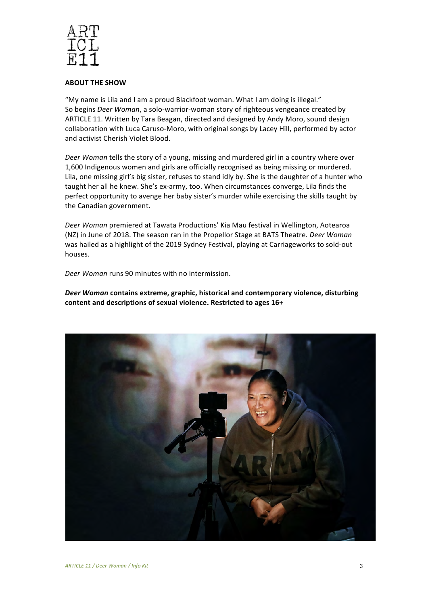

#### **ABOUT THE SHOW**

"My name is Lila and I am a proud Blackfoot woman. What I am doing is illegal." So begins *Deer Woman*, a solo-warrior-woman story of righteous vengeance created by ARTICLE 11. Written by Tara Beagan, directed and designed by Andy Moro, sound design collaboration with Luca Caruso-Moro, with original songs by Lacey Hill, performed by actor and activist Cherish Violet Blood.

Deer Woman tells the story of a young, missing and murdered girl in a country where over 1,600 Indigenous women and girls are officially recognised as being missing or murdered. Lila, one missing girl's big sister, refuses to stand idly by. She is the daughter of a hunter who taught her all he knew. She's ex-army, too. When circumstances converge, Lila finds the perfect opportunity to avenge her baby sister's murder while exercising the skills taught by the Canadian government.

Deer Woman premiered at Tawata Productions' Kia Mau festival in Wellington, Aotearoa (NZ) in June of 2018. The season ran in the Propellor Stage at BATS Theatre. *Deer Woman* was hailed as a highlight of the 2019 Sydney Festival, playing at Carriageworks to sold-out houses. 

Deer Woman runs 90 minutes with no intermission.

**Deer Woman contains extreme, graphic, historical and contemporary violence, disturbing** content and descriptions of sexual violence. Restricted to ages 16+

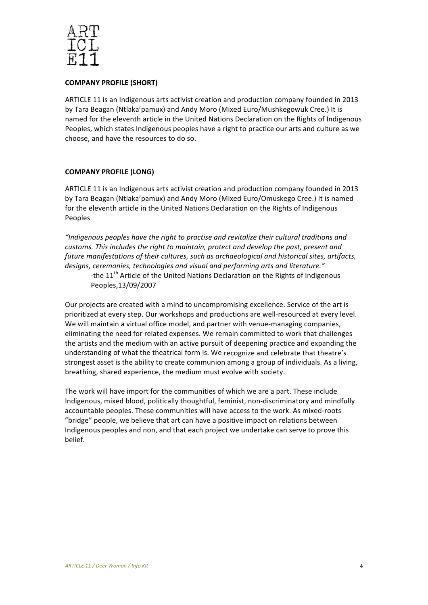

## **COMPANY PROFILE (SHORT)**

ARTICLE 11 is an Indigenous arts activist creation and production company founded in 2013 by Tara Beagan (Ntlaka'pamux) and Andy Moro (Mixed Euro/Mushkegowuk Cree.) It is named for the eleventh article in the United Nations Declaration on the Rights of Indigenous Peoples, which states Indigenous peoples have a right to practice our arts and culture as we choose, and have the resources to do so.

# **COMPANY PROFILE (LONG)**

ARTICLE 11 is an Indigenous arts activist creation and production company founded in 2013 by Tara Beagan (Ntlaka'pamux) and Andy Moro (Mixed Euro/Omuskego Cree.) It is named for the eleventh article in the United Nations Declaration on the Rights of Indigenous Peoples

*"Indigenous peoples have the right to practise and revitalize their cultural traditions and customs. This includes the right to maintain, protect and develop the past, present and future manifestations of their cultures, such as archaeological and historical sites, artifacts, designs, ceremonies, technologies and visual and performing arts and literature."*  -the 11<sup>th</sup> Article of the United Nations Declaration on the Rights of Indigenous Peoples,13/09/2007

Our projects are created with a mind to uncompromising excellence. Service of the art is prioritized at every step. Our workshops and productions are well-resourced at every level. We will maintain a virtual office model, and partner with venue-managing companies, eliminating the need for related expenses. We remain committed to work that challenges the artists and the medium with an active pursuit of deepening practice and expanding the understanding of what the theatrical form is. We recognize and celebrate that theatre's strongest asset is the ability to create communion among a group of individuals. As a living, breathing, shared experience, the medium must evolve with society.

The work will have import for the communities of which we are a part. These include Indigenous, mixed blood, politically thoughtful, feminist, non-discriminatory and mindfully accountable peoples. These communities will have access to the work. As mixed-roots "bridge" people, we believe that art can have a positive impact on relations between Indigenous peoples and non, and that each project we undertake can serve to prove this belief.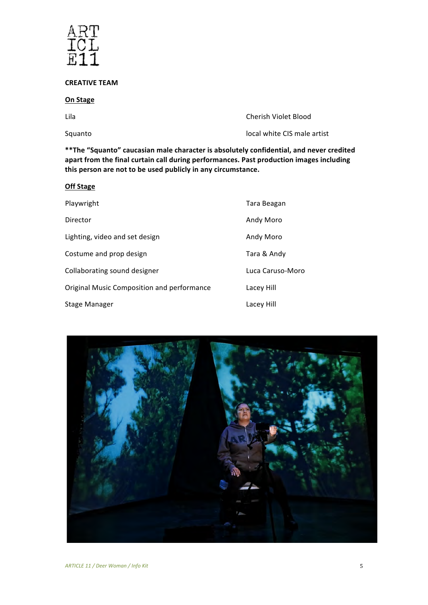

## **CREATIVE TEAM**

## **On Stage**

Lila **Cherish Violet Blood** 

Squanto **Call Contract Contract Contract Contract Contract Contract Contract Contract Contract Contract Contract Contract Contract Contract Contract Contract Contract Contract Contract Contract Contract Contract Contract C** 

\*\*The "Squanto" caucasian male character is absolutely confidential, and never credited apart from the final curtain call during performances. Past production images including this person are not to be used publicly in any circumstance.

| <b>Off Stage</b>                           |                  |  |  |
|--------------------------------------------|------------------|--|--|
| Playwright                                 | Tara Beagan      |  |  |
| Director                                   | Andy Moro        |  |  |
| Lighting, video and set design             | Andy Moro        |  |  |
| Costume and prop design                    | Tara & Andy      |  |  |
| Collaborating sound designer               | Luca Caruso-Moro |  |  |
| Original Music Composition and performance | Lacey Hill       |  |  |
| <b>Stage Manager</b>                       | Lacey Hill       |  |  |

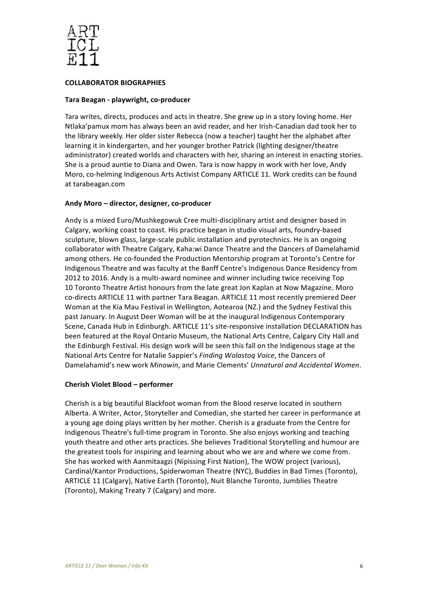

## **COLLABORATOR BIOGRAPHIES**

#### **Tara Beagan - playwright, co-producer**

Tara writes, directs, produces and acts in theatre. She grew up in a story loving home. Her Ntlaka'pamux mom has always been an avid reader, and her Irish-Canadian dad took her to the library weekly. Her older sister Rebecca (now a teacher) taught her the alphabet after learning it in kindergarten, and her younger brother Patrick (lighting designer/theatre administrator) created worlds and characters with her, sharing an interest in enacting stories. She is a proud auntie to Diana and Owen. Tara is now happy in work with her love, Andy Moro, co-helming Indigenous Arts Activist Company ARTICLE 11. Work credits can be found at tarabeagan.com

#### Andy Moro - director, designer, co-producer

Andy is a mixed Euro/Mushkegowuk Cree multi-disciplinary artist and designer based in Calgary, working coast to coast. His practice began in studio visual arts, foundry-based sculpture, blown glass, large-scale public installation and pyrotechnics. He is an ongoing collaborator with Theatre Calgary, Kaha:wi Dance Theatre and the Dancers of Damelahamid among others. He co-founded the Production Mentorship program at Toronto's Centre for Indigenous Theatre and was faculty at the Banff Centre's Indigenous Dance Residency from 2012 to 2016. Andy is a multi-award nominee and winner including twice receiving Top 10 Toronto Theatre Artist honours from the late great Jon Kaplan at Now Magazine. Moro co-directs ARTICLE 11 with partner Tara Beagan. ARTICLE 11 most recently premiered Deer Woman at the Kia Mau Festival in Wellington, Aotearoa (NZ.) and the Sydney Festival this past January. In August Deer Woman will be at the inaugural Indigenous Contemporary Scene, Canada Hub in Edinburgh. ARTICLE 11's site-responsive installation DECLARATION has been featured at the Royal Ontario Museum, the National Arts Centre, Calgary City Hall and the Edinburgh Festival. His design work will be seen this fall on the Indigenous stage at the National Arts Centre for Natalie Sappier's *Finding Wolastog Voice*, the Dancers of Damelahamid's new work *Minowin*, and Marie Clements' *Unnatural and Accidental Women*.

#### **Cherish Violet Blood – performer**

Cherish is a big beautiful Blackfoot woman from the Blood reserve located in southern Alberta. A Writer, Actor, Storyteller and Comedian, she started her career in performance at a young age doing plays written by her mother. Cherish is a graduate from the Centre for Indigenous Theatre's full-time program in Toronto. She also enjoys working and teaching youth theatre and other arts practices. She believes Traditional Storytelling and humour are the greatest tools for inspiring and learning about who we are and where we come from. She has worked with Aanmitaagzi (Nipissing First Nation), The WOW project (various), Cardinal/Kantor Productions, Spiderwoman Theatre (NYC), Buddies in Bad Times (Toronto), ARTICLE 11 (Calgary), Native Earth (Toronto), Nuit Blanche Toronto, Jumblies Theatre (Toronto), Making Treaty 7 (Calgary) and more.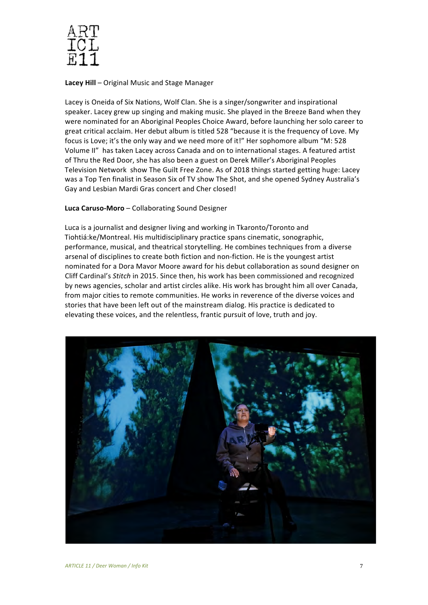

**Lacey Hill** – Original Music and Stage Manager

Lacey is Oneida of Six Nations, Wolf Clan. She is a singer/songwriter and inspirational speaker. Lacey grew up singing and making music. She played in the Breeze Band when they were nominated for an Aboriginal Peoples Choice Award, before launching her solo career to great critical acclaim. Her debut album is titled 528 "because it is the frequency of Love. My focus is Love; it's the only way and we need more of it!" Her sophomore album "M: 528 Volume II" has taken Lacey across Canada and on to international stages. A featured artist of Thru the Red Door, she has also been a guest on Derek Miller's Aboriginal Peoples Television Network show The Guilt Free Zone. As of 2018 things started getting huge: Lacey was a Top Ten finalist in Season Six of TV show The Shot, and she opened Sydney Australia's Gay and Lesbian Mardi Gras concert and Cher closed! 

## **Luca Caruso-Moro** – Collaborating Sound Designer

Luca is a journalist and designer living and working in Tkaronto/Toronto and Tiohtiá:ke/Montreal. His multidisciplinary practice spans cinematic, sonographic, performance, musical, and theatrical storytelling. He combines techniques from a diverse arsenal of disciplines to create both fiction and non-fiction. He is the youngest artist nominated for a Dora Mavor Moore award for his debut collaboration as sound designer on Cliff Cardinal's *Stitch* in 2015. Since then, his work has been commissioned and recognized by news agencies, scholar and artist circles alike. His work has brought him all over Canada, from major cities to remote communities. He works in reverence of the diverse voices and stories that have been left out of the mainstream dialog. His practice is dedicated to elevating these voices, and the relentless, frantic pursuit of love, truth and joy.

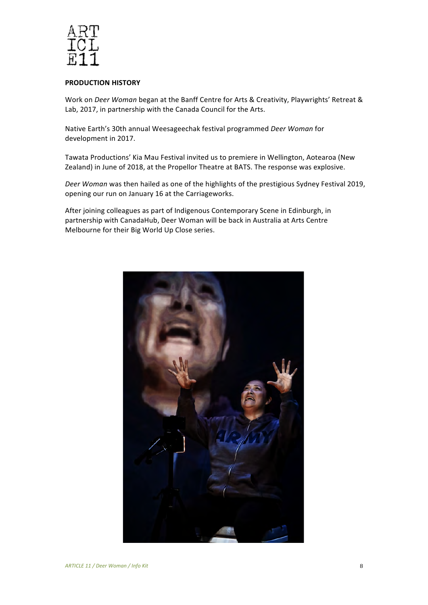

#### **PRODUCTION HISTORY**

Work on *Deer Woman* began at the Banff Centre for Arts & Creativity, Playwrights' Retreat & Lab, 2017, in partnership with the Canada Council for the Arts.

Native Earth's 30th annual Weesageechak festival programmed *Deer Woman* for development in 2017.

Tawata Productions' Kia Mau Festival invited us to premiere in Wellington, Aotearoa (New Zealand) in June of 2018, at the Propellor Theatre at BATS. The response was explosive.

*Deer Woman* was then hailed as one of the highlights of the prestigious Sydney Festival 2019, opening our run on January 16 at the Carriageworks.

After joining colleagues as part of Indigenous Contemporary Scene in Edinburgh, in partnership with CanadaHub, Deer Woman will be back in Australia at Arts Centre Melbourne for their Big World Up Close series.

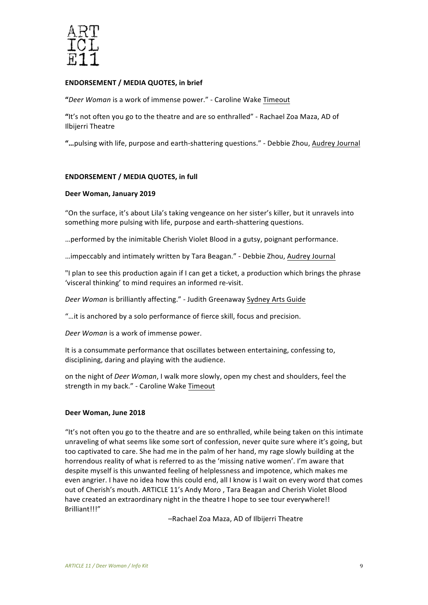

#### **ENDORSEMENT / MEDIA QUOTES, in brief**

"Deer Woman is a work of immense power." - Caroline Wake Timeout

"It's not often you go to the theatre and are so enthralled" - Rachael Zoa Maza, AD of Ilbijerri Theatre

"...pulsing with life, purpose and earth-shattering questions." - Debbie Zhou, Audrey Journal

## **ENDORSEMENT / MEDIA QUOTES, in full**

#### **Deer Woman, January 2019**

"On the surface, it's about Lila's taking vengeance on her sister's killer, but it unravels into something more pulsing with life, purpose and earth-shattering questions.

... performed by the inimitable Cherish Violet Blood in a gutsy, poignant performance.

...impeccably and intimately written by Tara Beagan." - Debbie Zhou, Audrey Journal

"I plan to see this production again if I can get a ticket, a production which brings the phrase 'visceral thinking' to mind requires an informed re-visit.

Deer Woman is brilliantly affecting." - Judith Greenaway Sydney Arts Guide

"...it is anchored by a solo performance of fierce skill, focus and precision.

*Deer Woman* is a work of immense power.

It is a consummate performance that oscillates between entertaining, confessing to, disciplining, daring and playing with the audience.

on the night of *Deer Woman*, I walk more slowly, open my chest and shoulders, feel the strength in my back." - Caroline Wake Timeout

#### **Deer Woman, June 2018**

"It's not often you go to the theatre and are so enthralled, while being taken on this intimate unraveling of what seems like some sort of confession, never quite sure where it's going, but too captivated to care. She had me in the palm of her hand, my rage slowly building at the horrendous reality of what is referred to as the 'missing native women'. I'm aware that despite myself is this unwanted feeling of helplessness and impotence, which makes me even angrier. I have no idea how this could end, all I know is I wait on every word that comes out of Cherish's mouth. ARTICLE 11's Andy Moro, Tara Beagan and Cherish Violet Blood have created an extraordinary night in the theatre I hope to see tour everywhere!! Brilliant!!!" 

–Rachael Zoa Maza, AD of Ilbijerri Theatre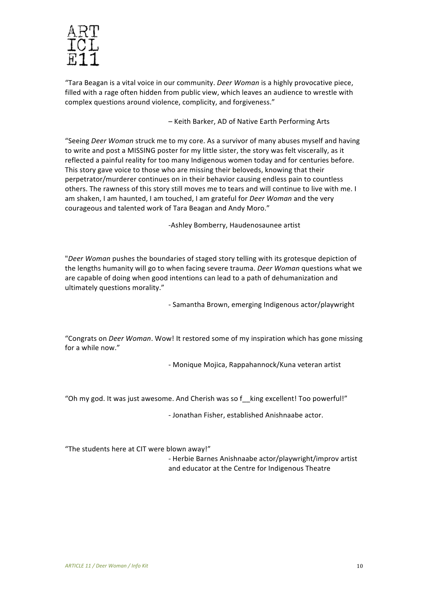

"Tara Beagan is a vital voice in our community. *Deer Woman* is a highly provocative piece, filled with a rage often hidden from public view, which leaves an audience to wrestle with complex questions around violence, complicity, and forgiveness." 

– Keith Barker, AD of Native Earth Performing Arts

"Seeing *Deer Woman* struck me to my core. As a survivor of many abuses myself and having to write and post a MISSING poster for my little sister, the story was felt viscerally, as it reflected a painful reality for too many Indigenous women today and for centuries before. This story gave voice to those who are missing their beloveds, knowing that their perpetrator/murderer continues on in their behavior causing endless pain to countless others. The rawness of this story still moves me to tears and will continue to live with me. I am shaken, I am haunted, I am touched, I am grateful for *Deer Woman* and the very courageous and talented work of Tara Beagan and Andy Moro."

-Ashley Bomberry, Haudenosaunee artist

"Deer Woman pushes the boundaries of staged story telling with its grotesque depiction of the lengths humanity will go to when facing severe trauma. *Deer Woman* questions what we are capable of doing when good intentions can lead to a path of dehumanization and ultimately questions morality."

- Samantha Brown, emerging Indigenous actor/playwright

"Congrats on *Deer Woman*. Wow! It restored some of my inspiration which has gone missing for a while now."

- Monique Mojica, Rappahannock/Kuna veteran artist

"Oh my god. It was just awesome. And Cherish was so  $f$  king excellent! Too powerful!"

- Jonathan Fisher, established Anishnaabe actor.

"The students here at CIT were blown away!" 

- Herbie Barnes Anishnaabe actor/playwright/improv artist and educator at the Centre for Indigenous Theatre